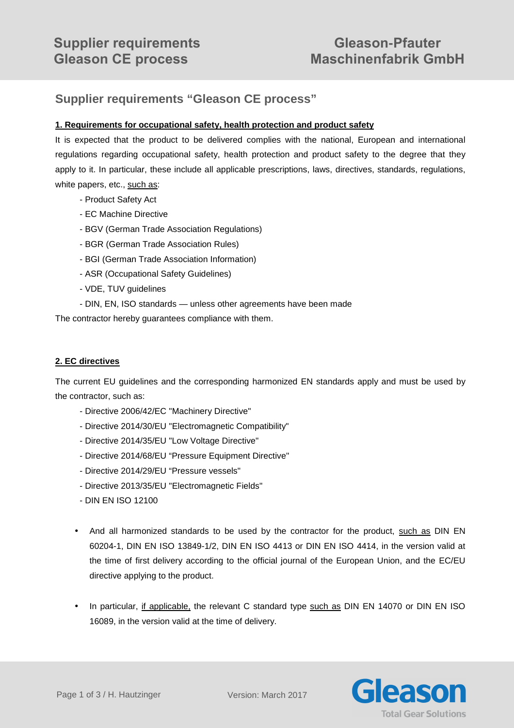# **Supplier requirements "Gleason CE process"**

## **1. Requirements for occupational safety, health protection and product safety**

It is expected that the product to be delivered complies with the national, European and international regulations regarding occupational safety, health protection and product safety to the degree that they apply to it. In particular, these include all applicable prescriptions, laws, directives, standards, regulations, white papers, etc., such as:

- Product Safety Act
- EC Machine Directive
- BGV (German Trade Association Regulations)
- BGR (German Trade Association Rules)
- BGI (German Trade Association Information)
- ASR (Occupational Safety Guidelines)
- VDE, TUV guidelines
- DIN, EN, ISO standards unless other agreements have been made

The contractor hereby guarantees compliance with them.

#### **2. EC directives**

The current EU guidelines and the corresponding harmonized EN standards apply and must be used by the contractor, such as:

- Directive 2006/42/EC "Machinery Directive"
- Directive 2014/30/EU "Electromagnetic Compatibility"
- Directive 2014/35/EU "Low Voltage Directive"
- Directive 2014/68/EU "Pressure Equipment Directive"
- Directive 2014/29/EU "Pressure vessels"
- Directive 2013/35/EU "Electromagnetic Fields"
- DIN EN ISO 12100
- And all harmonized standards to be used by the contractor for the product, such as DIN EN 60204-1, DIN EN ISO 13849-1/2, DIN EN ISO 4413 or DIN EN ISO 4414, in the version valid at the time of first delivery according to the official journal of the European Union, and the EC/EU directive applying to the product.
- In particular, if applicable, the relevant C standard type such as DIN EN 14070 or DIN EN ISO 16089, in the version valid at the time of delivery.

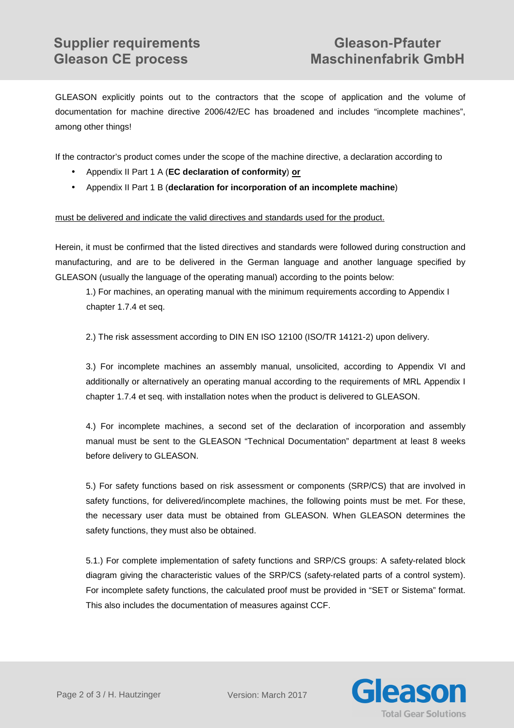GLEASON explicitly points out to the contractors that the scope of application and the volume of documentation for machine directive 2006/42/EC has broadened and includes "incomplete machines", among other things!

If the contractor's product comes under the scope of the machine directive, a declaration according to

- Appendix II Part 1 A (**EC declaration of conformity**) **or**
- Appendix II Part 1 B (**declaration for incorporation of an incomplete machine**)

### must be delivered and indicate the valid directives and standards used for the product.

Herein, it must be confirmed that the listed directives and standards were followed during construction and manufacturing, and are to be delivered in the German language and another language specified by GLEASON (usually the language of the operating manual) according to the points below:

1.) For machines, an operating manual with the minimum requirements according to Appendix I chapter 1.7.4 et seq.

2.) The risk assessment according to DIN EN ISO 12100 (ISO/TR 14121-2) upon delivery.

3.) For incomplete machines an assembly manual, unsolicited, according to Appendix VI and additionally or alternatively an operating manual according to the requirements of MRL Appendix I chapter 1.7.4 et seq. with installation notes when the product is delivered to GLEASON.

4.) For incomplete machines, a second set of the declaration of incorporation and assembly manual must be sent to the GLEASON "Technical Documentation" department at least 8 weeks before delivery to GLEASON.

5.) For safety functions based on risk assessment or components (SRP/CS) that are involved in safety functions, for delivered/incomplete machines, the following points must be met. For these, the necessary user data must be obtained from GLEASON. When GLEASON determines the safety functions, they must also be obtained.

5.1.) For complete implementation of safety functions and SRP/CS groups: A safety-related block diagram giving the characteristic values of the SRP/CS (safety-related parts of a control system). For incomplete safety functions, the calculated proof must be provided in "SET or Sistema" format. This also includes the documentation of measures against CCF.